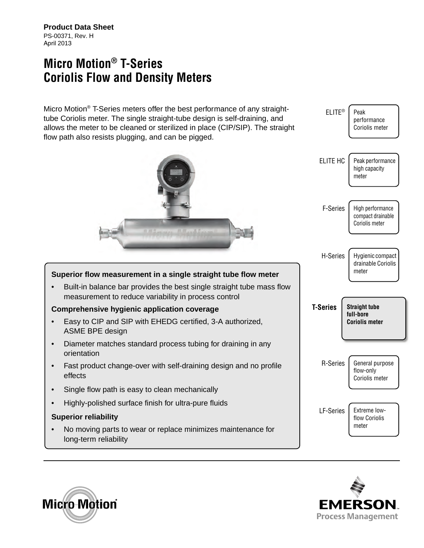**Product Data Sheet** PS-00371, Rev. H April 2013

## **Micro Motion® T-Series Coriolis Flow and Density Meters**

Micro Motion® T-Series meters offer the best performance of any straighttube Coriolis meter. The single straight-tube design is self-draining, and allows the meter to be cleaned or sterilized in place (CIP/SIP). The straight flow path also resists plugging, and can be pigged.



#### **Superior flow measurement in a single straight tube flow meter**

• Built-in balance bar provides the best single straight tube mass flow measurement to reduce variability in process control

#### **Comprehensive hygienic application coverage**

- Easy to CIP and SIP with EHEDG certified, 3-A authorized, ASME BPE design
- Diameter matches standard process tubing for draining in any orientation
- Fast product change-over with self-draining design and no profile effects
- Single flow path is easy to clean mechanically
- Highly-polished surface finish for ultra-pure fluids

#### **Superior reliability**

• No moving parts to wear or replace minimizes maintenance for long-term reliability





flow Coriolis meter

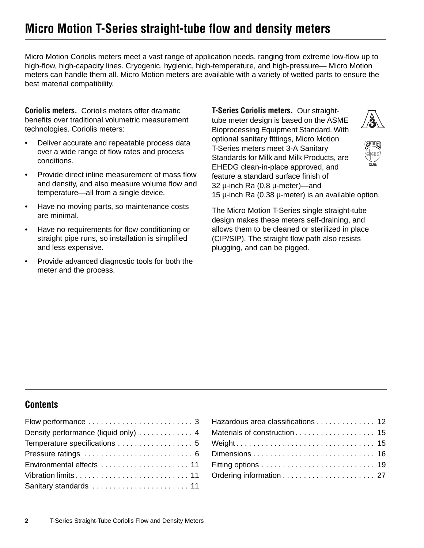# **Micro Motion T-Series straight-tube flow and density meters**

Micro Motion Coriolis meters meet a vast range of application needs, ranging from extreme low-flow up to high-flow, high-capacity lines. Cryogenic, hygienic, high-temperature, and high-pressure— Micro Motion meters can handle them all. Micro Motion meters are available with a variety of wetted parts to ensure the best material compatibility.

**Coriolis meters.** Coriolis meters offer dramatic benefits over traditional volumetric measurement technologies. Coriolis meters:

- Deliver accurate and repeatable process data over a wide range of flow rates and process conditions.
- Provide direct inline measurement of mass flow and density, and also measure volume flow and temperature—all from a single device.
- Have no moving parts, so maintenance costs are minimal.
- Have no requirements for flow conditioning or straight pipe runs, so installation is simplified and less expensive.
- Provide advanced diagnostic tools for both the meter and the process.

**T-Series Coriolis meters.** Our straighttube meter design is based on the ASME Bioprocessing Equipment Standard. With optional sanitary fittings, Micro Motion T-Series meters meet 3-A Sanitary Standards for Milk and Milk Products, are EHEDG clean-in-place approved, and feature a standard surface finish of 32 µ-inch Ra (0.8 µ-meter)—and 15 µ-inch Ra (0.38 µ-meter) is an available option.



| ۳<br>٥.  |
|----------|
|          |
| ۰°,<br>u |
|          |

The Micro Motion T-Series single straight-tube design makes these meters self-draining, and allows them to be cleaned or sterilized in place (CIP/SIP). The straight flow path also resists plugging, and can be pigged.

#### **Contents**

| Density performance (liquid only) 4 |
|-------------------------------------|
| Temperature specifications  5       |
|                                     |
|                                     |
| Vibration limits 11                 |
| Sanitary standards  11              |

| Hazardous area classifications 12 |  |
|-----------------------------------|--|
|                                   |  |
|                                   |  |
|                                   |  |
|                                   |  |
|                                   |  |
|                                   |  |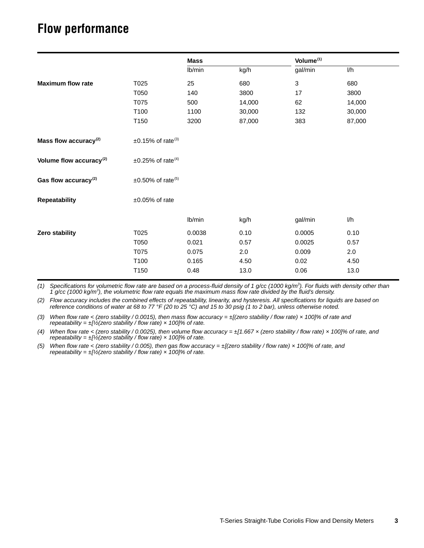## <span id="page-2-0"></span>**Flow performance**

|                                     | <b>Mass</b> |        | Volume <sup>(1)</sup> |        |
|-------------------------------------|-------------|--------|-----------------------|--------|
|                                     | Ib/min      | kg/h   | gal/min               | l/h    |
| T025                                | 25          | 680    | $\sqrt{3}$            | 680    |
| T050                                | 140         | 3800   | 17                    | 3800   |
| T075                                | 500         | 14,000 | 62                    | 14,000 |
| T100                                | 1100        | 30,000 | 132                   | 30,000 |
| T150                                | 3200        | 87,000 | 383                   | 87,000 |
| $\pm 0.15\%$ of rate <sup>(3)</sup> |             |        |                       |        |
| $\pm 0.25\%$ of rate <sup>(4)</sup> |             |        |                       |        |
| $\pm 0.50\%$ of rate <sup>(5)</sup> |             |        |                       |        |
| $\pm 0.05\%$ of rate                |             |        |                       |        |
|                                     | Ib/min      | kg/h   | gal/min               | J/h    |
| T025                                | 0.0038      | 0.10   | 0.0005                | 0.10   |
| T050                                | 0.021       | 0.57   | 0.0025                | 0.57   |
| T075                                | 0.075       | 2.0    | 0.009                 | 2.0    |
| T100                                | 0.165       | 4.50   | 0.02                  | 4.50   |
| T150                                | 0.48        | 13.0   | 0.06                  | 13.0   |
|                                     |             |        |                       |        |

*(1) Specifications for volumetric flow rate are based on a process-fluid density of 1 g/cc (1000 kg/m3 ). For fluids with density other than 1 g/cc (1000 kg/m3 ), the volumetric flow rate equals the maximum mass flow rate divided by the fluid's density.*

<span id="page-2-1"></span>*(2) Flow accuracy includes the combined effects of repeatability, linearity, and hysteresis. All specifications for liquids are based on reference conditions of water at 68 to 77 °F (20 to 25 °C) and 15 to 30 psig (1 to 2 bar), unless otherwise noted.*

*(3) When flow rate < (zero stability / 0.0015), then mass flow accuracy = ±[(zero stability / flow rate) × 100]% of rate and repeatability =*  $\pm$ *[½(zero stability / flow rate) x 100]% of rate.* 

*(4) When flow rate < (zero stability / 0.0025), then volume flow accuracy = ±[1.667 × (zero stability / flow rate) × 100]% of rate, and repeatability =*  $\pm$ *[½(zero stability / flow rate) x 100]% of rate.* 

*(5) When flow rate < (zero stability / 0.005), then gas flow accuracy = ±[(zero stability / flow rate) × 100]% of rate, and repeatability =*  $\pm$ *[½(zero stability / flow rate) × 100]% of rate.*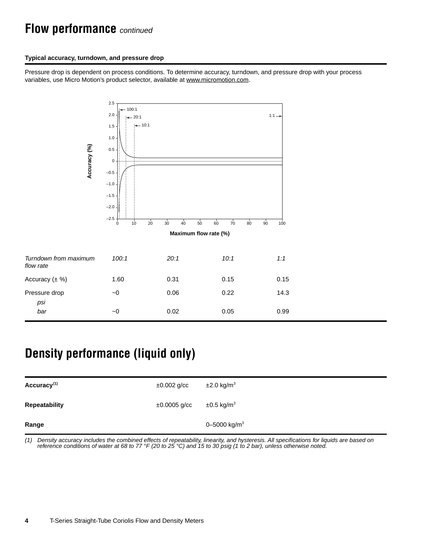## **Flow performance** *continued*

#### **Typical accuracy, turndown, and pressure drop**

Pressure drop is dependent on process conditions. To determine accuracy, turndown, and pressure drop with your process variables, use Micro Motion's product selector, available at [www.micromotion.com](http://www.micromotion.com).



# <span id="page-3-0"></span>**Density performance (liquid only)**

| Accuracy <sup>(1)</sup> | $\pm 0.002$ g/cc  | $\pm 2.0$ kg/m <sup>3</sup> |
|-------------------------|-------------------|-----------------------------|
| <b>Repeatability</b>    | $\pm 0.0005$ g/cc | $\pm 0.5$ kg/m <sup>3</sup> |
| Range                   |                   | 0-5000 kg/m <sup>3</sup>    |

*(1) Density accuracy includes the combined effects of repeatability, linearity, and hysteresis. All specifications for liquids are based on reference conditions of water at 68 to 77 °F (20 to 25 °C) and 15 to 30 psig (1 to 2 bar), unless otherwise noted.*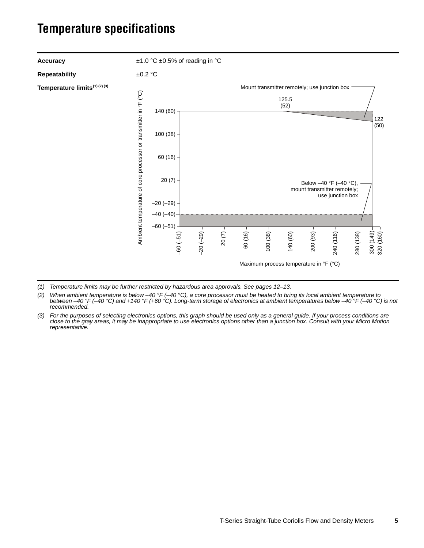## <span id="page-4-0"></span>**Temperature specifications**



*(1) Temperature limits may be further restricted by hazardous area approvals. See pages [12](#page-11-0)[–13.](#page-12-0)*

*(2) When ambient temperature is below –40 °F (–40 °C), a core processor must be heated to bring its local ambient temperature to between –40 °F (–40 °C) and +140 °F (+60 °C). Long-term storage of electronics at ambient temperatures below –40 °F (–40 °C) is not recommended.*

*(3) For the purposes of selecting electronics options, this graph should be used only as a general guide. If your process conditions are close to the gray areas, it may be inappropriate to use electronics options other than a junction box. Consult with your Micro Motion representative.*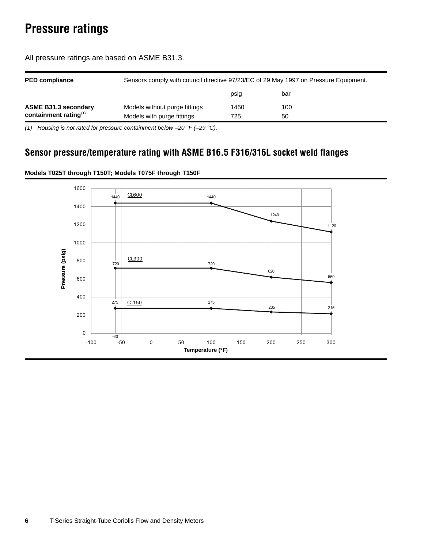# <span id="page-5-0"></span>**Pressure ratings**

| <b>PED compliance</b>       | Sensors comply with council directive 97/23/EC of 29 May 1997 on Pressure Equipment. |      |     |  |  |  |  |  |
|-----------------------------|--------------------------------------------------------------------------------------|------|-----|--|--|--|--|--|
|                             |                                                                                      | psig | bar |  |  |  |  |  |
| <b>ASME B31.3 secondary</b> | Models without purge fittings                                                        | 1450 | 100 |  |  |  |  |  |
| containment rating $(1)$    | Models with purge fittings                                                           | 725  | 50  |  |  |  |  |  |

All pressure ratings are based on ASME B31.3.

*(1) Housing is not rated for pressure containment below –20 °F (–29 °C).*

#### **Sensor pressure/temperature rating with ASME B16.5 F316/316L socket weld flanges**



#### **Models T025T through T150T; Models T075F through T150F**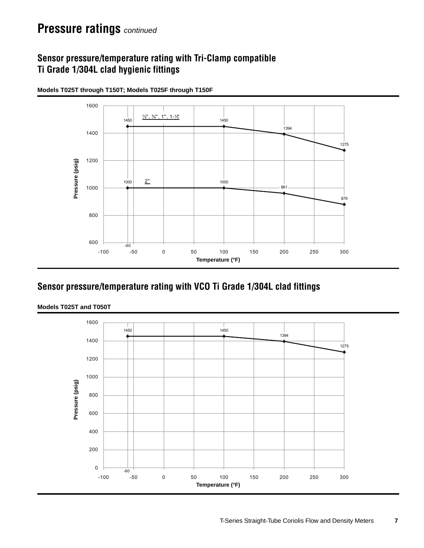## **Pressure ratings** *continued*

### **Sensor pressure/temperature rating with Tri-Clamp compatible Ti Grade 1/304L clad hygienic fittings**



**Models T025T through T150T; Models T025F through T150F**

#### **Sensor pressure/temperature rating with VCO Ti Grade 1/304L clad fittings**



**Models T025T and T050T**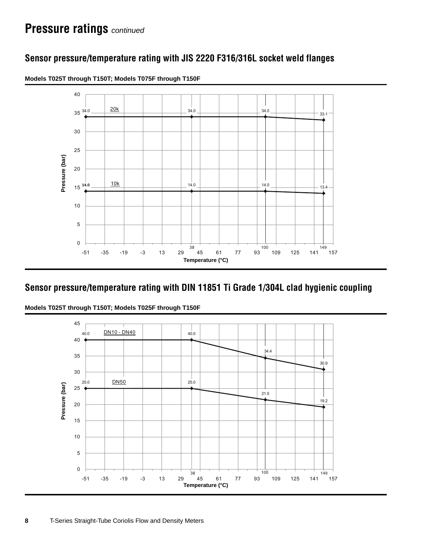### **Sensor pressure/temperature rating with JIS 2220 F316/316L socket weld flanges**



**Models T025T through T150T; Models T075F through T150F**

### **Sensor pressure/temperature rating with DIN 11851 Ti Grade 1/304L clad hygienic coupling**



**Models T025T through T150T; Models T025F through T150F**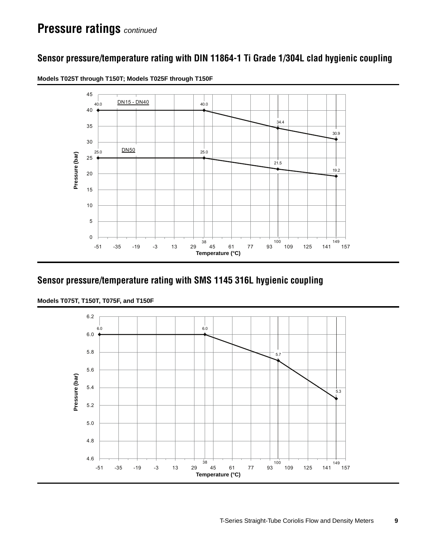### **Sensor pressure/temperature rating with DIN 11864-1 Ti Grade 1/304L clad hygienic coupling**



**Models T025T through T150T; Models T025F through T150F**

#### **Sensor pressure/temperature rating with SMS 1145 316L hygienic coupling**



**Models T075T, T150T, T075F, and T150F**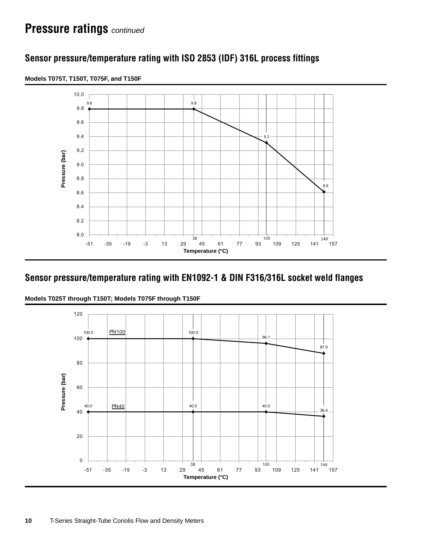### **Sensor pressure/temperature rating with ISO 2853 (IDF) 316L process fittings**



**Models T075T, T150T, T075F, and T150F**

#### **Sensor pressure/temperature rating with EN1092-1 & DIN F316/316L socket weld flanges**



**Models T025T through T150T; Models T075F through T150F**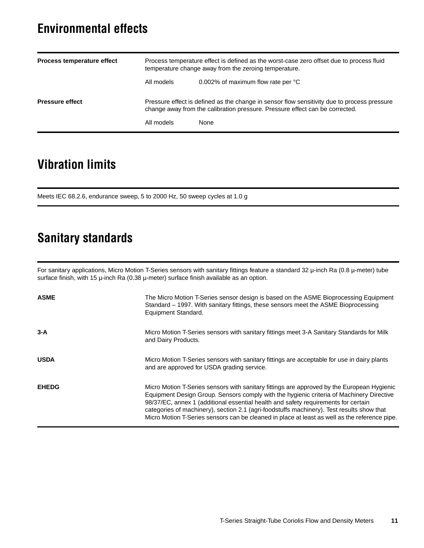## <span id="page-10-0"></span>**Environmental effects**

| Process temperature effect | Process temperature effect is defined as the worst-case zero offset due to process fluid<br>temperature change away from the zeroing temperature.                           |                                    |  |  |  |  |  |
|----------------------------|-----------------------------------------------------------------------------------------------------------------------------------------------------------------------------|------------------------------------|--|--|--|--|--|
|                            | All models                                                                                                                                                                  | 0.002% of maximum flow rate per °C |  |  |  |  |  |
| <b>Pressure effect</b>     | Pressure effect is defined as the change in sensor flow sensitivity due to process pressure<br>change away from the calibration pressure. Pressure effect can be corrected. |                                    |  |  |  |  |  |
|                            | All models                                                                                                                                                                  | None                               |  |  |  |  |  |

## <span id="page-10-1"></span>**Vibration limits**

Meets IEC 68.2.6, endurance sweep, 5 to 2000 Hz, 50 sweep cycles at 1.0 g

## <span id="page-10-2"></span>**Sanitary standards**

For sanitary applications, Micro Motion T-Series sensors with sanitary fittings feature a standard 32 µ-inch Ra (0.8 µ-meter) tube surface finish, with 15  $\mu$ -inch Ra (0.38  $\mu$ -meter) surface finish available as an option.

| <b>ASME</b>  | The Micro Motion T-Series sensor design is based on the ASME Bioprocessing Equipment<br>Standard - 1997. With sanitary fittings, these sensors meet the ASME Bioprocessing<br>Equipment Standard.                                                                                                                                                                                                                                                                          |
|--------------|----------------------------------------------------------------------------------------------------------------------------------------------------------------------------------------------------------------------------------------------------------------------------------------------------------------------------------------------------------------------------------------------------------------------------------------------------------------------------|
| $3-A$        | Micro Motion T-Series sensors with sanitary fittings meet 3-A Sanitary Standards for Milk<br>and Dairy Products.                                                                                                                                                                                                                                                                                                                                                           |
| <b>USDA</b>  | Micro Motion T-Series sensors with sanitary fittings are acceptable for use in dairy plants<br>and are approved for USDA grading service.                                                                                                                                                                                                                                                                                                                                  |
| <b>EHEDG</b> | Micro Motion T-Series sensors with sanitary fittings are approved by the European Hygienic<br>Equipment Design Group. Sensors comply with the hygienic criteria of Machinery Directive<br>98/37/EC, annex 1 (additional essential health and safety requirements for certain<br>categories of machinery), section 2.1 (agri-foodstuffs machinery). Test results show that<br>Micro Motion T-Series sensors can be cleaned in place at least as well as the reference pipe. |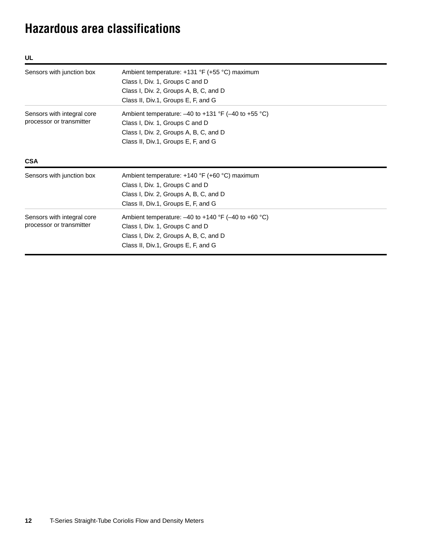# <span id="page-11-0"></span>**Hazardous area classifications**

| UL                                                     |                                                                                                                                                                                  |
|--------------------------------------------------------|----------------------------------------------------------------------------------------------------------------------------------------------------------------------------------|
| Sensors with junction box                              | Ambient temperature: +131 °F (+55 °C) maximum<br>Class I, Div. 1, Groups C and D<br>Class I, Div. 2, Groups A, B, C, and D<br>Class II, Div.1, Groups E, F, and G                |
| Sensors with integral core<br>processor or transmitter | Ambient temperature: $-40$ to $+131$ °F ( $-40$ to $+55$ °C)<br>Class I, Div. 1, Groups C and D<br>Class I, Div. 2, Groups A, B, C, and D<br>Class II, Div.1, Groups E, F, and G |
| <b>CSA</b><br>Sensors with junction box                | Ambient temperature: +140 °F (+60 °C) maximum                                                                                                                                    |
|                                                        | Class I, Div. 1, Groups C and D<br>Class I, Div. 2, Groups A, B, C, and D<br>Class II, Div.1, Groups E, F, and G                                                                 |
| Sensors with integral core<br>processor or transmitter | Ambient temperature: $-40$ to $+140$ °F ( $-40$ to $+60$ °C)<br>Class I, Div. 1, Groups C and D<br>Class I, Div. 2, Groups A, B, C, and D<br>Class II, Div.1, Groups E, F, and G |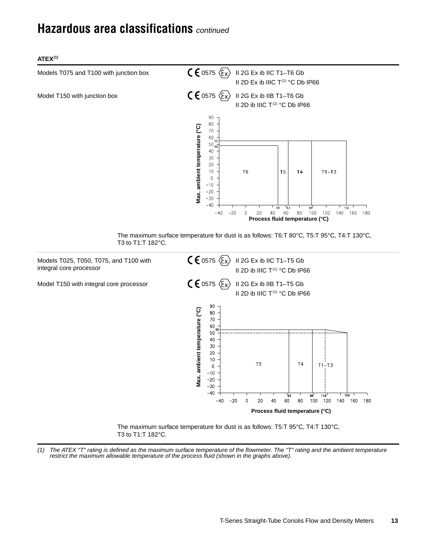## <span id="page-12-0"></span>**Hazardous area classifications** *continued*

**ATEX(1)**



<span id="page-12-1"></span>*(1) The ATEX "T" rating is defined as the maximum surface temperature of the flowmeter. The "T" rating and the ambient temperature restrict the maximum allowable temperature of the process fluid (shown in the graphs above).*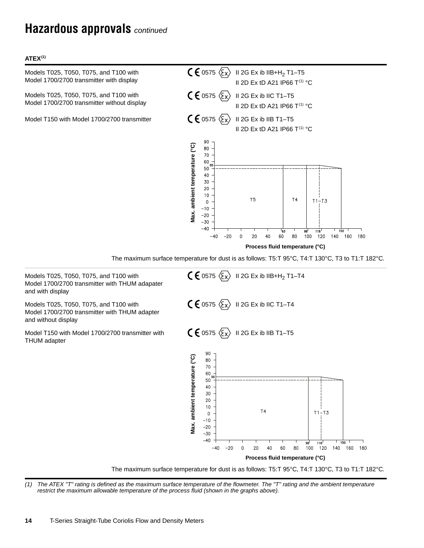## **Hazardous approvals** *continued*

#### **ATEX(1)**

 $C \n\in$  0575  $\langle \overline{\xi_x} \rangle$  II 2G Ex ib IIB+H<sub>2</sub> T1–T5 Models T025, T050, T075, and T100 with Model 1700/2700 transmitter with display  $C \n\in$  0575  $\langle \xi_x \rangle$  II 2G Ex ib IIC T1-T5 Models T025, T050, T075, and T100 with Model 1700/2700 transmitter without display Model T150 with Model 1700/2700 transmitter  $\zeta \in \mathfrak{S}$  0575  $\langle \overline{\xi}_x \rangle$  II 2G Ex ib IIB T1–T5 90 80 70 60 50 40

II 2D Ex tD A21 IP66  $T^{(1)}$  °C II 2D Ex tD A21 IP66  $T^{(1)}$  °C II 2D Ex tD A21 IP66  $T^{(1)}$  °C Vax. ambient temperature (°C) **Max. ambient temperature (°C)** 30 20  $10$  $T<sub>5</sub>$  $T<sub>4</sub>$  $T1-T3$  $\Omega$  $-10$  $-20$  $-30$  $-40$ 53ء **118**  $\Omega$  $20$ 40 60 80 100 120 140 160 180  $-40$  $-20$ **Process fluid temperature (°C)**

The maximum surface temperature for dust is as follows: T5:T 95°C, T4:T 130°C, T3 to T1:T 182°C.

 $C \in \mathsf{0}$ 575  $\langle \overline{\xi_x} \rangle$  II 2G Ex ib IIB+H<sub>2</sub> T1–T4  $C \in 0575 \langle \overline{\xi_x} \rangle$  II 2G Ex ib IIC T1-T4  $C \n\in$  0575  $\langle \overline{\xi}_X \rangle$  II 2G Ex ib IIB T1-T5 90 Max. ambient temperature (°C) **Max. ambient temperature (°C)**80 70 60 50 40 30 20  $10\,$  $T4$  $T1-T3$  $\Omega$  $-10$  $-20$  $-30$  $-40$ 118 150  $-40$  $-20$  $\Omega$ 20 40 60 80 100 120 140 160 180 **Process fluid temperature (°C)**

The maximum surface temperature for dust is as follows: T5:T 95°C, T4:T 130°C, T3 to T1:T 182°C.

<span id="page-13-0"></span>*(1) The ATEX "T" rating is defined as the maximum surface temperature of the flowmeter. The "T" rating and the ambient temperature restrict the maximum allowable temperature of the process fluid (shown in the graphs above).*

**14** T-Series Straight-Tube Coriolis Flow and Density Meters



and without display Model T150 with Model 1700/2700 transmitter with THUM adapter

Model 1700/2700 transmitter with THUM adapater

Models T025, T050, T075, and T100 with

and with display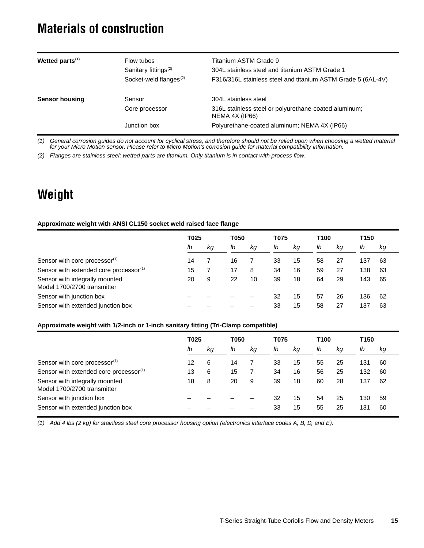## <span id="page-14-0"></span>**Materials of construction**

| Wetted parts <sup>(1)</sup> | Flow tubes<br>Sanitary fittings <sup>(2)</sup><br>Socket-weld flanges <sup>(2)</sup> | Titanium ASTM Grade 9<br>304L stainless steel and titanium ASTM Grade 1<br>F316/316L stainless steel and titanium ASTM Grade 5 (6AL-4V) |
|-----------------------------|--------------------------------------------------------------------------------------|-----------------------------------------------------------------------------------------------------------------------------------------|
| <b>Sensor housing</b>       | Sensor                                                                               | 304L stainless steel                                                                                                                    |
|                             | Core processor                                                                       | 316L stainless steel or polyurethane-coated aluminum;<br>NEMA 4X (IP66)                                                                 |
|                             | Junction box                                                                         | Polyurethane-coated aluminum; NEMA 4X (IP66)                                                                                            |

*(1) General corrosion guides do not account for cyclical stress, and therefore should not be relied upon when choosing a wetted material for your Micro Motion sensor. Please refer to Micro Motion's corrosion guide for material compatibility information.*

<span id="page-14-2"></span>*(2) Flanges are stainless steel; wetted parts are titanium. Only titanium is in contact with process flow.*

# <span id="page-14-1"></span>**Weight**

#### **Approximate weight with ANSI CL150 socket weld raised face flange**

|                                                               | T025 |    | T050 |    | T075 |    | T <sub>100</sub> |    | T150 |    |
|---------------------------------------------------------------|------|----|------|----|------|----|------------------|----|------|----|
|                                                               | lb   | kg | lb   | kg | lb   | kg | lb               | kg | lb   | кg |
| Sensor with core processor <sup>(1)</sup>                     | 14   |    | 16   |    | 33   | 15 | 58               | 27 | 137  | 63 |
| Sensor with extended core processor <sup>(1)</sup>            | 15   |    | 17   | 8  | 34   | 16 | 59               | 27 | 138  | 63 |
| Sensor with integrally mounted<br>Model 1700/2700 transmitter | 20   | 9  | 22   | 10 | 39   | 18 | 64               | 29 | 143  | 65 |
| Sensor with junction box                                      |      |    |      |    | 32   | 15 | 57               | 26 | 136  | 62 |
| Sensor with extended junction box                             |      |    |      |    | 33   | 15 | 58               | 27 | 137  | 63 |

#### **Approximate weight with 1/2-inch or 1-inch sanitary fitting (Tri-Clamp compatible)**

|                                                               | T025 |    | T050 |    | T075 |    | T100 |    | T <sub>150</sub> |    |
|---------------------------------------------------------------|------|----|------|----|------|----|------|----|------------------|----|
|                                                               | lb   | kg | lb   | kg | lb   | kg | lb   | kg | lb               | kg |
| Sensor with core processor <sup>(1)</sup>                     | 12   | 6  | 14   |    | 33   | 15 | 55   | 25 | 131              | 60 |
| Sensor with extended core processor <sup>(1)</sup>            | 13   | 6  | 15   |    | 34   | 16 | 56   | 25 | 132              | 60 |
| Sensor with integrally mounted<br>Model 1700/2700 transmitter | 18   | 8  | 20   | 9  | 39   | 18 | 60   | 28 | 137              | 62 |
| Sensor with junction box                                      |      |    |      |    | 32   | 15 | 54   | 25 | 130              | 59 |
| Sensor with extended junction box                             |      |    |      |    | 33   | 15 | 55   | 25 | 131              | 60 |

<span id="page-14-3"></span>*(1) Add 4 lbs (2 kg) for stainless steel core processor housing option (electronics interface codes A, B, D, and E).*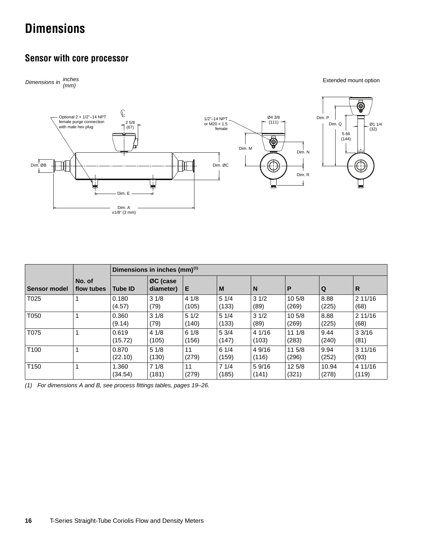# <span id="page-15-0"></span>**Dimensions**

#### **Sensor with core processor**



|                     |                      |                  | Dimensions in inches (mm) <sup>(1)</sup> |               |                |                 |                 |                |                  |
|---------------------|----------------------|------------------|------------------------------------------|---------------|----------------|-----------------|-----------------|----------------|------------------|
| <b>Sensor model</b> | No. of<br>flow tubes | <b>Tube ID</b>   | ØC (case<br>diameter)                    | Е             | M              | N               | P               | Q              | R                |
| T025                |                      | 0.180<br>(4.57)  | 31/8<br>(79)                             | 41/8<br>(105) | 51/4<br>(133)  | 31/2<br>(89)    | 10 5/8<br>(269) | 8.88<br>(225)  | 211/16<br>(68)   |
| T050                |                      | 0.360<br>(9.14)  | 31/8<br>(79)                             | 51/2<br>(140) | 51/4<br>(133)  | 31/2<br>(89)    | 10 5/8<br>(269) | 8.88<br>(225)  | 211/16<br>(68)   |
| T075                | 1                    | 0.619<br>(15.72) | 41/8<br>(105)                            | 61/8<br>(156) | 5 3/4<br>(147) | 4 1/16<br>(103) | 111/8<br>(283)  | 9.44<br>(240)  | 33/16<br>(81)    |
| T100                |                      | 0.870<br>(22.10) | 51/8<br>(130)                            | 11<br>(279)   | 61/4<br>(159)  | 4 9/16<br>(116) | 11 5/8<br>(296) | 9.94<br>(252)  | 311/16<br>(93)   |
| T150                | 1                    | 1.360<br>(34.54) | 71/8<br>(181)                            | 11<br>(279)   | 71/4<br>(185)  | 59/16<br>(141)  | 125/8<br>(321)  | 10.94<br>(278) | 4 11/16<br>(119) |

*(1) For dimensions A and B, see process fittings tables, pages [19](#page-18-0)–[26](#page-25-0).*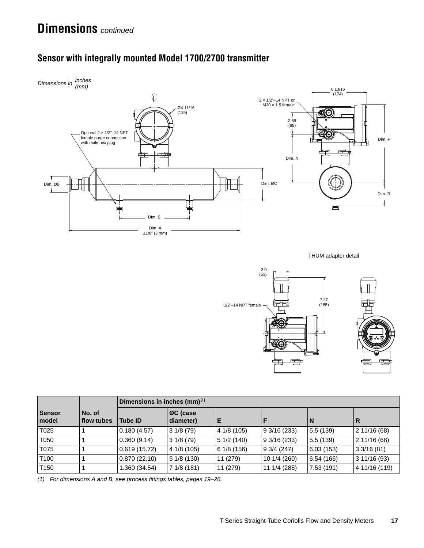

### **Sensor with integrally mounted Model 1700/2700 transmitter**

THUM adapter detail



|                        |                      | Dimensions in inches (mm) <sup>(1)</sup> |                       |             |              |           |               |  |  |  |
|------------------------|----------------------|------------------------------------------|-----------------------|-------------|--------------|-----------|---------------|--|--|--|
| <b>Sensor</b><br>model | No. of<br>flow tubes | <b>Tube ID</b>                           | ØC (case<br>diameter) | Е           |              | N         | R             |  |  |  |
| T025                   |                      | 0.180(4.57)                              | 31/8(79)              | 4 1/8 (105) | 9 3/16 (233) | 5.5(139)  | 2 11/16 (68)  |  |  |  |
| T050                   |                      | 0.360(9.14)                              | 31/8(79)              | 51/2(140)   | 93/16(233)   | 5.5(139)  | 2 11/16 (68)  |  |  |  |
| T075                   |                      | 0.619(15.72)                             | 4 1/8 (105)           | 61/8(156)   | 93/4(247)    | 6.03(153) | 33/16(81)     |  |  |  |
| T <sub>100</sub>       |                      | 0.870(22.10)                             | 51/8(130)             | 11 (279)    | 10 1/4 (260) | 6.54(166) | 311/16(93)    |  |  |  |
| T <sub>150</sub>       |                      | 1.360 (34.54)                            | 71/8(181)             | 11 (279)    | 11 1/4 (285) | 7.53(191) | 4 11/16 (119) |  |  |  |

*(1) For dimensions A and B, see process fittings tables, pages [19](#page-18-0)–[26](#page-25-0).*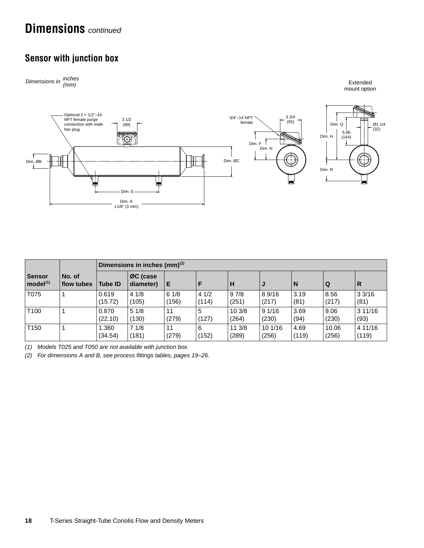## **Dimensions** *continued*

## **Sensor with junction box**



|                                       |                      | Dimensions in inches $\text{(mm)}^{(2)}$ |                       |               |               |                |                 |               |                |                  |
|---------------------------------------|----------------------|------------------------------------------|-----------------------|---------------|---------------|----------------|-----------------|---------------|----------------|------------------|
| <b>Sensor</b><br>model <sup>(1)</sup> | No. of<br>flow tubes | <b>Tube ID</b>                           | ØC (case<br>diameter) | Е             |               | H              |                 | I N           | l Q            | R                |
| T075                                  |                      | 0.619<br>(15.72)                         | 41/8<br>(105)         | 61/8<br>(156) | 41/2<br>(114) | 97/8<br>(251)  | 89/16<br>(217)  | 3.19<br>(81)  | 8.56<br>(217)  | 33/16<br>(81)    |
| T <sub>100</sub>                      |                      | 0.870<br>(22.10)                         | 51/8<br>(130)         | 11<br>(279)   | 5<br>(127)    | 103/8<br>(264) | 91/16<br>(230)  | 3.69<br>(94)  | 9.06<br>(230)  | 311/16<br>(93)   |
| T <sub>150</sub>                      |                      | 1.360<br>(34.54)                         | 71/8<br>(181)         | 11<br>(279)   | -6<br>(152)   | 113/8<br>(289) | 101/16<br>(256) | 4.69<br>(119) | 10.06<br>(256) | 4 11/16<br>(119) |

*(1) Models T025 and T050 are not available with junction box.*

*(2) For dimensions A and B, see process fittings tables, pages [19](#page-18-0)–[26](#page-25-0).*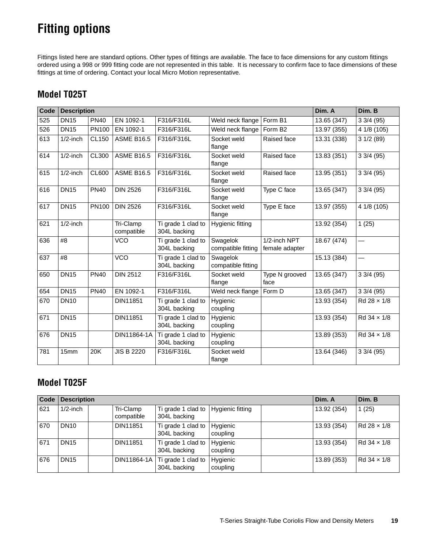# <span id="page-18-0"></span>**Fitting options**

Fittings listed here are standard options. Other types of fittings are available. The face to face dimensions for any custom fittings ordered using a 998 or 999 fitting code are not represented in this table. It is necessary to confirm face to face dimensions of these fittings at time of ordering. Contact your local Micro Motion representative.

#### **Model T025T**

| Code | <b>Description</b> |              |                         |                                                        |                                |                                | Dim. A      | Dim. B                   |
|------|--------------------|--------------|-------------------------|--------------------------------------------------------|--------------------------------|--------------------------------|-------------|--------------------------|
| 525  | <b>DN15</b>        | <b>PN40</b>  | EN 1092-1               | F316/F316L                                             | Weld neck flange               | Form B1                        | 13.65 (347) | 33/4(95)                 |
| 526  | <b>DN15</b>        | <b>PN100</b> | EN 1092-1               | F316/F316L                                             | Weld neck flange               | Form B <sub>2</sub>            | 13.97 (355) | 4 1/8 (105)              |
| 613  | $1/2$ -inch        | CL150        | <b>ASME B16.5</b>       | F316/F316L                                             | Socket weld<br>flange          | Raised face                    | 13.31 (338) | 31/2(89)                 |
| 614  | $1/2$ -inch        | <b>CL300</b> | <b>ASME B16.5</b>       | F316/F316L                                             | Socket weld<br>flange          | Raised face                    | 13.83 (351) | 33/4(95)                 |
| 615  | $1/2$ -inch        | CL600        | <b>ASME B16.5</b>       | F316/F316L                                             | Socket weld<br>flange          | Raised face                    | 13.95 (351) | 33/4(95)                 |
| 616  | <b>DN15</b>        | <b>PN40</b>  | <b>DIN 2526</b>         | F316/F316L                                             | Socket weld<br>flange          | Type C face                    | 13.65 (347) | 33/4(95)                 |
| 617  | <b>DN15</b>        | <b>PN100</b> | <b>DIN 2526</b>         | F316/F316L                                             | Socket weld<br>flange          | Type E face                    | 13.97 (355) | 4 1/8 (105)              |
| 621  | $1/2$ -inch        |              | Tri-Clamp<br>compatible | $\overline{\text{Ti}}$ grade 1 clad to<br>304L backing | Hygienic fitting               |                                | 13.92 (354) | 1(25)                    |
| 636  | #8                 |              | <b>VCO</b>              | Ti grade 1 clad to<br>304L backing                     | Swagelok<br>compatible fitting | 1/2-inch NPT<br>female adapter | 18.67 (474) |                          |
| 637  | #8                 |              | <b>VCO</b>              | Ti grade 1 clad to<br>304L backing                     | Swagelok<br>compatible fitting |                                | 15.13 (384) | $\overline{\phantom{0}}$ |
| 650  | <b>DN15</b>        | <b>PN40</b>  | <b>DIN 2512</b>         | F316/F316L                                             | Socket weld<br>flange          | Type N grooved<br>face         | 13.65 (347) | 33/4(95)                 |
| 654  | <b>DN15</b>        | <b>PN40</b>  | EN 1092-1               | F316/F316L                                             | Weld neck flange               | Form D                         | 13.65 (347) | 33/4(95)                 |
| 670  | <b>DN10</b>        |              | <b>DIN11851</b>         | Ti grade 1 clad to<br>304L backing                     | Hygienic<br>coupling           |                                | 13.93 (354) | $Rd 28 \times 1/8$       |
| 671  | <b>DN15</b>        |              | DIN11851                | Ti grade 1 clad to<br>304L backing                     | Hygienic<br>coupling           |                                | 13.93 (354) | Rd 34 x 1/8              |
| 676  | <b>DN15</b>        |              | DIN11864-1A             | Ti grade 1 clad to<br>304L backing                     | Hygienic<br>coupling           |                                | 13.89 (353) | $Rd$ 34 $\times$ 1/8     |
| 781  | 15mm               | 20K          | <b>JIS B 2220</b>       | F316/F316L                                             | Socket weld<br>flange          |                                | 13.64 (346) | 33/4(95)                 |

### **Model T025F**

|     | Code Description |                         | Dim. A                                              | Dim. B               |             |                      |
|-----|------------------|-------------------------|-----------------------------------------------------|----------------------|-------------|----------------------|
| 621 | $1/2$ -inch      | Tri-Clamp<br>compatible | Ti grade 1 clad to Hygienic fitting<br>304L backing |                      | 13.92 (354) | 1(25)                |
| 670 | <b>DN10</b>      | <b>DIN11851</b>         | Ti grade 1 clad to Hygienic<br>304L backing         | coupling             | 13.93 (354) | $Rd 28 \times 1/8$   |
| 671 | DN <sub>15</sub> | <b>DIN11851</b>         | Ti grade 1 clad to<br>304L backing                  | Hygienic<br>coupling | 13.93 (354) | $Rd$ 34 $\times$ 1/8 |
| 676 | <b>DN15</b>      | DIN11864-1A             | Ti grade 1 clad to<br>304L backing                  | Hygienic<br>coupling | 13.89 (353) | $Rd$ 34 $\times$ 1/8 |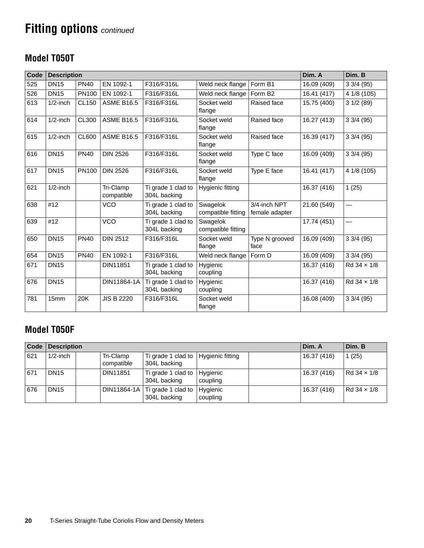### **Model T050T**

| Code | <b>Description</b> |              |                         |                                    |                                |                                | Dim. A      | Dim. B               |
|------|--------------------|--------------|-------------------------|------------------------------------|--------------------------------|--------------------------------|-------------|----------------------|
| 525  | <b>DN15</b>        | <b>PN40</b>  | EN 1092-1               | F316/F316L                         | Weld neck flange               | Form B1                        | 16.09 (409) | 33/4(95)             |
| 526  | <b>DN15</b>        | PN100        | EN 1092-1               | F316/F316L                         | Weld neck flange               | Form B <sub>2</sub>            | 16.41 (417) | 4 1/8 (105)          |
| 613  | $1/2$ -inch        | <b>CL150</b> | <b>ASME B16.5</b>       | F316/F316L                         | Socket weld<br>flange          | Raised face                    | 15.75 (400) | 31/2(89)             |
| 614  | $1/2$ -inch        | <b>CL300</b> | <b>ASME B16.5</b>       | F316/F316L                         | Socket weld<br>flange          | Raised face                    | 16.27 (413) | 33/4(95)             |
| 615  | $1/2$ -inch        | <b>CL600</b> | <b>ASME B16.5</b>       | F316/F316L                         | Socket weld<br>flange          | Raised face                    | 16.39 (417) | 33/4(95)             |
| 616  | <b>DN15</b>        | <b>PN40</b>  | <b>DIN 2526</b>         | F316/F316L                         | Socket weld<br>flange          | Type C face                    | 16.09 (409) | 33/4(95)             |
| 617  | <b>DN15</b>        | PN100        | <b>DIN 2526</b>         | F316/F316L                         | Socket weld<br>flange          | Type E face                    | 16.41 (417) | 4 1/8 (105)          |
| 621  | $1/2$ -inch        |              | Tri-Clamp<br>compatible | Ti grade 1 clad to<br>304L backing | Hygienic fitting               |                                | 16.37 (416) | 1(25)                |
| 638  | #12                |              | <b>VCO</b>              | Ti grade 1 clad to<br>304L backing | Swagelok<br>compatible fitting | 3/4-inch NPT<br>female adapter | 21.60 (549) |                      |
| 639  | #12                |              | <b>VCO</b>              | Ti grade 1 clad to<br>304L backing | Swagelok<br>compatible fitting |                                | 17.74 (451) |                      |
| 650  | <b>DN15</b>        | <b>PN40</b>  | <b>DIN 2512</b>         | F316/F316L                         | Socket weld<br>flange          | Type N grooved<br>face         | 16.09 (409) | 33/4(95)             |
| 654  | <b>DN15</b>        | <b>PN40</b>  | EN 1092-1               | F316/F316L                         | Weld neck flange               | Form D                         | 16.09 (409) | 33/4(95)             |
| 671  | <b>DN15</b>        |              | <b>DIN11851</b>         | Ti grade 1 clad to<br>304L backing | Hygienic<br>coupling           |                                | 16.37 (416) | Rd 34 x 1/8          |
| 676  | <b>DN15</b>        |              | DIN11864-1A             | Ti grade 1 clad to<br>304L backing | Hygienic<br>coupling           |                                | 16.37 (416) | $Rd$ 34 $\times$ 1/8 |
| 781  | 15mm               | 20K          | <b>JIS B 2220</b>       | F316/F316L                         | Socket weld<br>flange          |                                | 16.08 (409) | 33/4(95)             |

### **Model T050F**

| <b>Code</b> | <b>Description</b> |                         | Dim. A                                                      | Dim. B   |             |                    |
|-------------|--------------------|-------------------------|-------------------------------------------------------------|----------|-------------|--------------------|
| 621         | $1/2$ -inch        | Tri-Clamp<br>compatible | Ti grade 1 clad to   Hygienic fitting<br>304L backing       |          | 16.37 (416) | 1(25)              |
| 671         | <b>DN15</b>        | <b>DIN11851</b>         | Ti grade 1 clad to Hygienic<br>304L backing                 | coupling | 16.37 (416) | Rd $34 \times 1/8$ |
| 676         | <b>DN15</b>        |                         | DIN11864-1A   Ti grade 1 clad to   Hygienic<br>304L backing | coupling | 16.37 (416) | Rd $34 \times 1/8$ |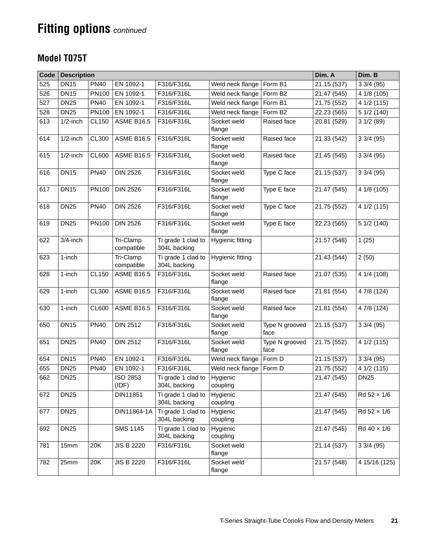#### **Model T075T**

| Code | <b>Description</b> |              |                         |                                    |                       |                        | Dim. A      | Dim. B                  |
|------|--------------------|--------------|-------------------------|------------------------------------|-----------------------|------------------------|-------------|-------------------------|
| 525  | <b>DN15</b>        | <b>PN40</b>  | EN 1092-1               | F316/F316L                         | Weld neck flange      | Form B1                | 21.15 (537) | 33/4(95)                |
| 526  | <b>DN15</b>        | PN100        | EN 1092-1               | F316/F316L                         | Weld neck flange      | Form B <sub>2</sub>    | 21.47 (545) | 4 1/8 (105)             |
| 527  | <b>DN25</b>        | <b>PN40</b>  | EN 1092-1               | F316/F316L                         | Weld neck flange      | Form B1                | 21.75 (552) | 4 1/2 (115)             |
| 528  | <b>DN25</b>        | PN100        | EN 1092-1               | F316/F316L                         | Weld neck flange      | Form B <sub>2</sub>    | 22.23 (565) | 5 1/2 (140)             |
| 613  | $1/2$ -inch        | <b>CL150</b> | <b>ASME B16.5</b>       | F316/F316L                         | Socket weld<br>flange | Raised face            | 20.81 (529) | 31/2(89)                |
| 614  | $1/2$ -inch        | <b>CL300</b> | <b>ASME B16.5</b>       | F316/F316L                         | Socket weld<br>flange | Raised face            | 21.33 (542) | 33/4(95)                |
| 615  | $1/2$ -inch        | <b>CL600</b> | <b>ASME B16.5</b>       | F316/F316L                         | Socket weld<br>flange | Raised face            | 21.45 (545) | 33/4(95)                |
| 616  | <b>DN15</b>        | <b>PN40</b>  | <b>DIN 2526</b>         | F316/F316L                         | Socket weld<br>flange | Type C face            | 21.15 (537) | $\overline{3}$ 3/4 (95) |
| 617  | <b>DN15</b>        | <b>PN100</b> | <b>DIN 2526</b>         | F316/F316L                         | Socket weld<br>flange | Type E face            | 21.47 (545) | 4 1/8 (105)             |
| 618  | <b>DN25</b>        | <b>PN40</b>  | <b>DIN 2526</b>         | F316/F316L                         | Socket weld<br>flange | Type C face            | 21.75 (552) | 4 1/2 (115)             |
| 619  | <b>DN25</b>        | <b>PN100</b> | <b>DIN 2526</b>         | F316/F316L                         | Socket weld<br>flange | Type E face            | 22.23 (565) | 5 1/2 (140)             |
| 622  | 3/4-inch           |              | Tri-Clamp<br>compatible | Ti grade 1 clad to<br>304L backing | Hygienic fitting      |                        | 21.57 (548) | 1(25)                   |
| 623  | 1-inch             |              | Tri-Clamp<br>compatible | Ti grade 1 clad to<br>304L backing | Hygienic fitting      |                        | 21.43 (544) | 2(50)                   |
| 628  | 1-inch             | <b>CL150</b> | <b>ASME B16.5</b>       | F316/F316L                         | Socket weld<br>flange | Raised face            | 21.07 (535) | 4 1/4 (108)             |
| 629  | 1-inch             | CL300        | <b>ASME B16.5</b>       | F316/F316L                         | Socket weld<br>flange | Raised face            | 21.81 (554) | 4 7/8 (124)             |
| 630  | 1-inch             | CL600        | <b>ASME B16.5</b>       | F316/F316L                         | Socket weld<br>flange | Raised face            | 21.81 (554) | 4 7/8 (124)             |
| 650  | <b>DN15</b>        | <b>PN40</b>  | <b>DIN 2512</b>         | F316/F316L                         | Socket weld<br>flange | Type N grooved<br>face | 21.15 (537) | 33/4(95)                |
| 651  | <b>DN25</b>        | <b>PN40</b>  | <b>DIN 2512</b>         | F316/F316L                         | Socket weld<br>flange | Type N grooved<br>face | 21.75 (552) | 4 1/2 (115)             |
| 654  | <b>DN15</b>        | <b>PN40</b>  | EN 1092-1               | F316/F316L                         | Weld neck flange      | Form D                 | 21.15 (537) | $\overline{3}$ 3/4 (95) |
| 655  | <b>DN25</b>        | <b>PN40</b>  | EN 1092-1               | F316/F316L                         | Weld neck flange      | Form D                 | 21.75 (552) | 4 1/2 (115)             |
| 662  | <b>DN25</b>        |              | ISO 2853<br>(IDF)       | Ti grade 1 clad to<br>304L backing | Hygienic<br>coupling  |                        | 21.47 (545) | <b>DN25</b>             |
| 672  | <b>DN25</b>        |              | DIN11851                | Ti grade 1 clad to<br>304L backing | Hygienic<br>coupling  |                        | 21.47 (545) | Rd 52 x 1/6             |
| 677  | <b>DN25</b>        |              | DIN11864-1A             | Ti grade 1 clad to<br>304L backing | Hygienic<br>coupling  |                        | 21.47 (545) | Rd 52 × 1/6             |
| 692  | <b>DN25</b>        |              | <b>SMS 1145</b>         | Ti grade 1 clad to<br>304L backing | Hygienic<br>coupling  |                        | 21.47 (545) | Rd 40 x 1/6             |
| 781  | 15mm               | 20K          | <b>JIS B 2220</b>       | F316/F316L                         | Socket weld<br>flange |                        | 21.14 (537) | 33/4(95)                |
| 782  | 25mm               | 20K          | <b>JIS B 2220</b>       | F316/F316L                         | Socket weld<br>flange |                        | 21.57 (548) | 4 15/16 (125)           |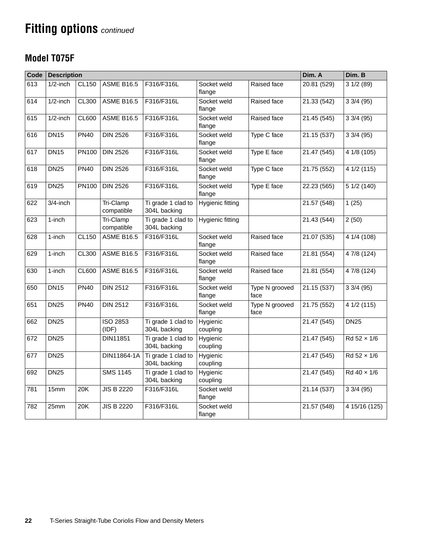### **Model T075F**

| Code | <b>Description</b> |              |                          |                                    |                         |                        | Dim. A                  | Dim. B                 |
|------|--------------------|--------------|--------------------------|------------------------------------|-------------------------|------------------------|-------------------------|------------------------|
| 613  | $1/2$ -inch        | <b>CL150</b> | <b>ASME B16.5</b>        | F316/F316L                         | Socket weld<br>flange   | Raised face            | 20.81 (529)             | 31/2(89)               |
| 614  | $1/2$ -inch        | <b>CL300</b> | <b>ASME B16.5</b>        | F316/F316L                         | Socket weld<br>flange   | Raised face            | 21.33 (542)             | 33/4(95)               |
| 615  | $1/2$ -inch        | <b>CL600</b> | <b>ASME B16.5</b>        | F316/F316L                         | Socket weld<br>flange   | Raised face            | 21.45(545)              | $3\overline{3}/4$ (95) |
| 616  | <b>DN15</b>        | <b>PN40</b>  | <b>DIN 2526</b>          | F316/F316L                         | Socket weld<br>flange   | Type C face            | 21.15(537)              | $3\frac{3}{4}(95)$     |
| 617  | <b>DN15</b>        | <b>PN100</b> | <b>DIN 2526</b>          | F316/F316L                         | Socket weld<br>flange   | Type E face            | $\overline{21.47(545)}$ | 4 1/8 (105)            |
| 618  | <b>DN25</b>        | <b>PN40</b>  | <b>DIN 2526</b>          | F316/F316L                         | Socket weld<br>flange   | Type C face            | 21.75 (552)             | 4 1/2 (115)            |
| 619  | <b>DN25</b>        | <b>PN100</b> | <b>DIN 2526</b>          | F316/F316L                         | Socket weld<br>flange   | Type E face            | 22.23 (565)             | 5 1/2 (140)            |
| 622  | $3/4$ -inch        |              | Tri-Clamp<br>compatible  | Ti grade 1 clad to<br>304L backing | <b>Hygienic fitting</b> |                        | 21.57 (548)             | 1(25)                  |
| 623  | 1-inch             |              | Tri-Clamp<br>compatible  | Ti grade 1 clad to<br>304L backing | Hygienic fitting        |                        | 21.43 (544)             | 2(50)                  |
| 628  | 1-inch             | <b>CL150</b> | <b>ASME B16.5</b>        | F316/F316L                         | Socket weld<br>flange   | Raised face            | 21.07(535)              | 4 1/4 (108)            |
| 629  | 1-inch             | <b>CL300</b> | <b>ASME B16.5</b>        | F316/F316L                         | Socket weld<br>flange   | Raised face            | 21.81 (554)             | 4 7/8 (124)            |
| 630  | 1-inch             | <b>CL600</b> | <b>ASME B16.5</b>        | F316/F316L                         | Socket weld<br>flange   | Raised face            | 21.81 (554)             | 4 7/8 (124)            |
| 650  | <b>DN15</b>        | <b>PN40</b>  | <b>DIN 2512</b>          | F316/F316L                         | Socket weld<br>flange   | Type N grooved<br>face | 21.15 (537)             | 33/4(95)               |
| 651  | <b>DN25</b>        | <b>PN40</b>  | <b>DIN 2512</b>          | F316/F316L                         | Socket weld<br>flange   | Type N grooved<br>face | 21.75 (552)             | 4 1/2 (115)            |
| 662  | <b>DN25</b>        |              | <b>ISO 2853</b><br>(IDF) | Ti grade 1 clad to<br>304L backing | Hygienic<br>coupling    |                        | 21.47(545)              | <b>DN25</b>            |
| 672  | <b>DN25</b>        |              | DIN11851                 | Ti grade 1 clad to<br>304L backing | Hygienic<br>coupling    |                        | 21.47 (545)             | Rd 52 × 1/6            |
| 677  | <b>DN25</b>        |              | DIN11864-1A              | Ti grade 1 clad to<br>304L backing | Hygienic<br>coupling    |                        | 21.47 (545)             | Rd 52 x 1/6            |
| 692  | <b>DN25</b>        |              | <b>SMS 1145</b>          | Ti grade 1 clad to<br>304L backing | Hygienic<br>coupling    |                        | 21.47 (545)             | Rd 40 x 1/6            |
| 781  | 15mm               | 20K          | <b>JIS B 2220</b>        | F316/F316L                         | Socket weld<br>flange   |                        | 21.14 (537)             | 33/4(95)               |
| 782  | 25mm               | 20K          | <b>JIS B 2220</b>        | F316/F316L                         | Socket weld<br>flange   |                        | 21.57 (548)             | 4 15/16 (125)          |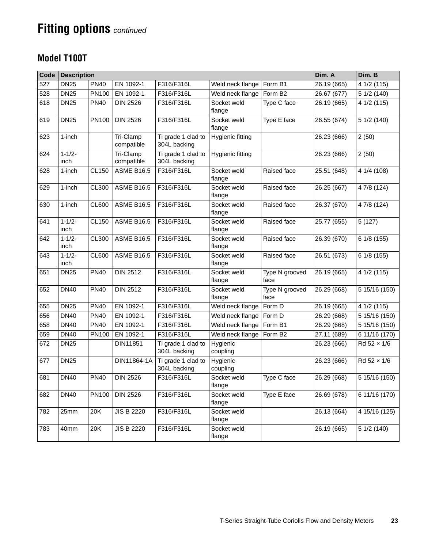### **Model T100T**

| Code | <b>Description</b>  |              |                         |                                    |                       |                        | Dim. A      | Dim. B        |
|------|---------------------|--------------|-------------------------|------------------------------------|-----------------------|------------------------|-------------|---------------|
| 527  | <b>DN25</b>         | <b>PN40</b>  | EN 1092-1               | F316/F316L                         | Weld neck flange      | Form B1                | 26.19 (665) | 4 1/2 (115)   |
| 528  | <b>DN25</b>         | PN100        | EN 1092-1               | F316/F316L                         | Weld neck flange      | Form B <sub>2</sub>    | 26.67(677)  | 5 1/2 (140)   |
| 618  | <b>DN25</b>         | <b>PN40</b>  | <b>DIN 2526</b>         | F316/F316L                         | Socket weld<br>flange | Type C face            | 26.19 (665) | 4 1/2 (115)   |
| 619  | <b>DN25</b>         | PN100        | <b>DIN 2526</b>         | F316/F316L                         | Socket weld<br>flange | Type E face            | 26.55 (674) | 5 1/2 (140)   |
| 623  | 1-inch              |              | Tri-Clamp<br>compatible | Ti grade 1 clad to<br>304L backing | Hygienic fitting      |                        | 26.23 (666) | 2(50)         |
| 624  | $1 - 1/2 -$<br>inch |              | Tri-Clamp<br>compatible | Ti grade 1 clad to<br>304L backing | Hygienic fitting      |                        | 26.23 (666) | 2(50)         |
| 628  | 1-inch              | <b>CL150</b> | <b>ASME B16.5</b>       | F316/F316L                         | Socket weld<br>flange | Raised face            | 25.51 (648) | 4 1/4 (108)   |
| 629  | 1-inch              | <b>CL300</b> | <b>ASME B16.5</b>       | F316/F316L                         | Socket weld<br>flange | Raised face            | 26.25 (667) | 4 7/8 (124)   |
| 630  | 1-inch              | <b>CL600</b> | <b>ASME B16.5</b>       | F316/F316L                         | Socket weld<br>flange | Raised face            | 26.37 (670) | 4 7/8 (124)   |
| 641  | $1 - 1/2 -$<br>inch | <b>CL150</b> | <b>ASME B16.5</b>       | F316/F316L                         | Socket weld<br>flange | Raised face            | 25.77 (655) | 5(127)        |
| 642  | $1 - 1/2 -$<br>inch | <b>CL300</b> | <b>ASME B16.5</b>       | F316/F316L                         | Socket weld<br>flange | Raised face            | 26.39 (670) | 61/8(155)     |
| 643  | $1 - 1/2 -$<br>inch | <b>CL600</b> | <b>ASME B16.5</b>       | F316/F316L                         | Socket weld<br>flange | Raised face            | 26.51 (673) | 6 1/8 (155)   |
| 651  | <b>DN25</b>         | <b>PN40</b>  | <b>DIN 2512</b>         | F316/F316L                         | Socket weld<br>flange | Type N grooved<br>face | 26.19 (665) | 4 1/2 (115)   |
| 652  | <b>DN40</b>         | <b>PN40</b>  | <b>DIN 2512</b>         | F316/F316L                         | Socket weld<br>flange | Type N grooved<br>face | 26.29 (668) | 5 15/16 (150) |
| 655  | <b>DN25</b>         | <b>PN40</b>  | EN 1092-1               | F316/F316L                         | Weld neck flange      | Form D                 | 26.19 (665) | 4 1/2 (115)   |
| 656  | <b>DN40</b>         | <b>PN40</b>  | EN 1092-1               | F316/F316L                         | Weld neck flange      | Form D                 | 26.29 (668) | 5 15/16 (150) |
| 658  | <b>DN40</b>         | <b>PN40</b>  | EN 1092-1               | F316/F316L                         | Weld neck flange      | Form B1                | 26.29 (668) | 5 15/16 (150) |
| 659  | <b>DN40</b>         | <b>PN100</b> | EN 1092-1               | F316/F316L                         | Weld neck flange      | Form B <sub>2</sub>    | 27.11 (689) | 6 11/16 (170) |
| 672  | <b>DN25</b>         |              | DIN11851                | Ti grade 1 clad to<br>304L backing | Hygienic<br>coupling  |                        | 26.23 (666) | Rd 52 × 1/6   |
| 677  | <b>DN25</b>         |              | DIN11864-1A             | Ti grade 1 clad to<br>304L backing | Hygienic<br>coupling  |                        | 26.23 (666) | Rd 52 x 1/6   |
| 681  | <b>DN40</b>         | <b>PN40</b>  | <b>DIN 2526</b>         | F316/F316L                         | Socket weld<br>flange | Type C face            | 26.29 (668) | 5 15/16 (150) |
| 682  | <b>DN40</b>         | PN100        | <b>DIN 2526</b>         | F316/F316L                         | Socket weld<br>flange | Type E face            | 26.69 (678) | 6 11/16 (170) |
| 782  | 25mm                | 20K          | <b>JIS B 2220</b>       | F316/F316L                         | Socket weld<br>flange |                        | 26.13 (664) | 4 15/16 (125) |
| 783  | 40mm                | 20K          | <b>JIS B 2220</b>       | F316/F316L                         | Socket weld<br>flange |                        | 26.19 (665) | 5 1/2 (140)   |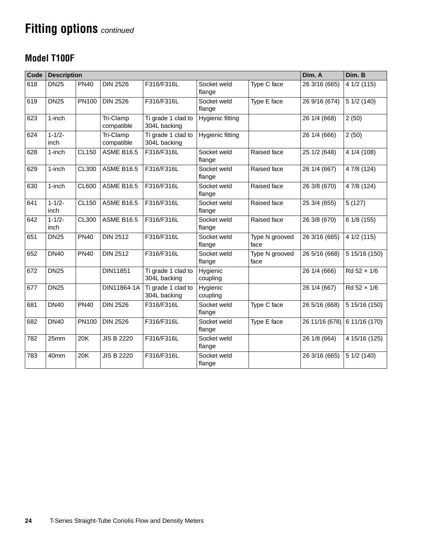### **Model T100F**

| Code | <b>Description</b>  |              |                         |                                    |                       |                        | Dim. A         | Dim. B                     |
|------|---------------------|--------------|-------------------------|------------------------------------|-----------------------|------------------------|----------------|----------------------------|
| 618  | <b>DN25</b>         | <b>PN40</b>  | <b>DIN 2526</b>         | F316/F316L                         | Socket weld<br>flange | Type C face            | 26 3/16 (665)  | $\overline{4}$ 1/2 (115)   |
| 619  | <b>DN25</b>         | <b>PN100</b> | <b>DIN 2526</b>         | F316/F316L                         | Socket weld<br>flange | Type E face            | 26 9/16 (674)  | 5 1/2 (140)                |
| 623  | 1-inch              |              | Tri-Clamp<br>compatible | Ti grade 1 clad to<br>304L backing | Hygienic fitting      |                        | 26 1/4 (668)   | 2(50)                      |
| 624  | $1 - 1/2 -$<br>inch |              | Tri-Clamp<br>compatible | Ti grade 1 clad to<br>304L backing | Hygienic fitting      |                        | 26 1/4 (666)   | 2(50)                      |
| 628  | 1-inch              | <b>CL150</b> | <b>ASME B16.5</b>       | F316/F316L                         | Socket weld<br>flange | Raised face            | 25 1/2 (648)   | 4 1/4 (108)                |
| 629  | 1-inch              | <b>CL300</b> | <b>ASME B16.5</b>       | F316/F316L                         | Socket weld<br>flange | Raised face            | 26 1/4 (667)   | 4 7/8 (124)                |
| 630  | 1-inch              | <b>CL600</b> | <b>ASME B16.5</b>       | F316/F316L                         | Socket weld<br>flange | Raised face            | 26 3/8 (670)   | 4 7/8 (124)                |
| 641  | $1 - 1/2 -$<br>inch | CL150        | <b>ASME B16.5</b>       | F316/F316L                         | Socket weld<br>flange | Raised face            | 25 3/4 (655)   | 5(127)                     |
| 642  | $1 - 1/2 -$<br>inch | CL300        | <b>ASME B16.5</b>       | F316/F316L                         | Socket weld<br>flange | Raised face            | 26 3/8 (670)   | 6 1/8 (155)                |
| 651  | <b>DN25</b>         | <b>PN40</b>  | <b>DIN 2512</b>         | F316/F316L                         | Socket weld<br>flange | Type N grooved<br>face | 26 3/16 (665)  | 4 1/2 (115)                |
| 652  | <b>DN40</b>         | <b>PN40</b>  | <b>DIN 2512</b>         | F316/F316L                         | Socket weld<br>flange | Type N grooved<br>face | 26 5/16 (668)  | 5 15/16 (150)              |
| 672  | <b>DN25</b>         |              | DIN11851                | Ti grade 1 clad to<br>304L backing | Hygienic<br>coupling  |                        | 26 1/4 (666)   | Rd 52 × 1/6                |
| 677  | <b>DN25</b>         |              | DIN11864-1A             | Ti grade 1 clad to<br>304L backing | Hygienic<br>coupling  |                        | 26 1/4 (667)   | Rd 52 × 1/6                |
| 681  | <b>DN40</b>         | <b>PN40</b>  | <b>DIN 2526</b>         | F316/F316L                         | Socket weld<br>flange | Type C face            | 26 5/16 (668)  | $\overline{5}$ 15/16 (150) |
| 682  | <b>DN40</b>         | <b>PN100</b> | <b>DIN 2526</b>         | F316/F316L                         | Socket weld<br>flange | Type E face            | 26 11/16 (678) | 6 11/16 (170)              |
| 782  | 25mm                | 20K          | <b>JIS B 2220</b>       | F316/F316L                         | Socket weld<br>flange |                        | 26 1/8 (664)   | 4 15/16 (125)              |
| 783  | 40mm                | 20K          | <b>JIS B 2220</b>       | F316/F316L                         | Socket weld<br>flange |                        | 26 3/16 (665)  | 5 1/2 (140)                |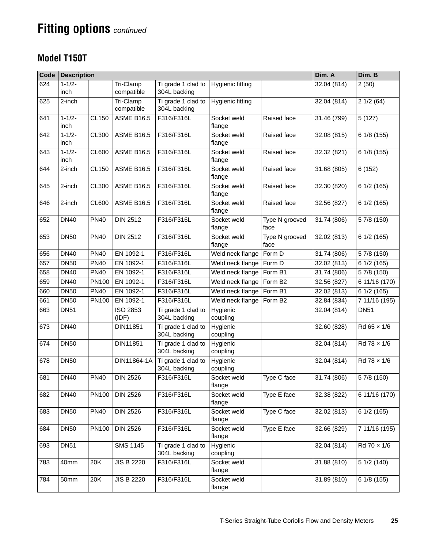### **Model T150T**

| Code | <b>Description</b>  |              |                          |                                    | Dim. A                | Dim. B                 |             |                            |
|------|---------------------|--------------|--------------------------|------------------------------------|-----------------------|------------------------|-------------|----------------------------|
| 624  | $1 - 1/2 -$<br>inch |              | Tri-Clamp<br>compatible  | Ti grade 1 clad to<br>304L backing | Hygienic fitting      |                        | 32.04 (814) | 2(50)                      |
| 625  | 2-inch              |              | Tri-Clamp<br>compatible  | Ti grade 1 clad to<br>304L backing | Hygienic fitting      |                        | 32.04 (814) | 21/2(64)                   |
| 641  | $1 - 1/2 -$<br>inch | <b>CL150</b> | <b>ASME B16.5</b>        | F316/F316L                         | Socket weld<br>flange | Raised face            | 31.46 (799) | 5(127)                     |
| 642  | $1 - 1/2 -$<br>inch | <b>CL300</b> | <b>ASME B16.5</b>        | F316/F316L                         | Socket weld<br>flange | Raised face            | 32.08 (815) | 6 1/8 (155)                |
| 643  | $1 - 1/2 -$<br>inch | <b>CL600</b> | <b>ASME B16.5</b>        | F316/F316L                         | Socket weld<br>flange | Raised face            | 32.32 (821) | 6 1/8 (155)                |
| 644  | 2-inch              | CL150        | <b>ASME B16.5</b>        | F316/F316L                         | Socket weld<br>flange | Raised face            | 31.68 (805) | $\sqrt{6}$ (152)           |
| 645  | 2-inch              | <b>CL300</b> | <b>ASME B16.5</b>        | F316/F316L                         | Socket weld<br>flange | Raised face            | 32.30 (820) | 6 1/2 (165)                |
| 646  | 2-inch              | <b>CL600</b> | <b>ASME B16.5</b>        | F316/F316L                         | Socket weld<br>flange | Raised face            | 32.56 (827) | 6 1/2 (165)                |
| 652  | <b>DN40</b>         | <b>PN40</b>  | <b>DIN 2512</b>          | F316/F316L                         | Socket weld<br>flange | Type N grooved<br>face | 31.74 (806) | 5 7/8 (150)                |
| 653  | <b>DN50</b>         | <b>PN40</b>  | <b>DIN 2512</b>          | F316/F316L                         | Socket weld<br>flange | Type N grooved<br>face | 32.02 (813) | 6 1/2 (165)                |
| 656  | <b>DN40</b>         | <b>PN40</b>  | EN 1092-1                | F316/F316L                         | Weld neck flange      | Form D                 | 31.74 (806) | 5 7/8 (150)                |
| 657  | <b>DN50</b>         | <b>PN40</b>  | EN 1092-1                | F316/F316L                         | Weld neck flange      | Form D                 | 32.02 (813) | $\overline{6}$ 1/2 (165)   |
| 658  | <b>DN40</b>         | <b>PN40</b>  | EN 1092-1                | F316/F316L                         | Weld neck flange      | Form B1                | 31.74 (806) | 5 7/8 (150)                |
| 659  | <b>DN40</b>         | PN100        | EN 1092-1                | F316/F316L                         | Weld neck flange      | Form B <sub>2</sub>    | 32.56 (827) | $\overline{6}$ 11/16 (170) |
| 660  | <b>DN50</b>         | <b>PN40</b>  | EN 1092-1                | F316/F316L                         | Weld neck flange      | Form B1                | 32.02 (813) | 6 1/2 (165)                |
| 661  | <b>DN50</b>         | PN100        | EN 1092-1                | F316/F316L                         | Weld neck flange      | Form B2                | 32.84 (834) | 7 11/16 (195)              |
| 663  | <b>DN51</b>         |              | <b>ISO 2853</b><br>(IDF) | Ti grade 1 clad to<br>304L backing | Hygienic<br>coupling  |                        | 32.04 (814) | <b>DN51</b>                |
| 673  | <b>DN40</b>         |              | DIN11851                 | Ti grade 1 clad to<br>304L backing | Hygienic<br>coupling  |                        | 32.60 (828) | Rd 65 x 1/6                |
| 674  | <b>DN50</b>         |              | DIN11851                 | Ti grade 1 clad to<br>304L backing | Hygienic<br>coupling  |                        | 32.04 (814) | Rd 78 x 1/6                |
| 678  | <b>DN50</b>         |              | DIN11864-1A              | Ti grade 1 clad to<br>304L backing | Hygienic<br>coupling  |                        | 32.04 (814) | Rd 78 x 1/6                |
| 681  | <b>DN40</b>         | <b>PN40</b>  | <b>DIN 2526</b>          | F316/F316L                         | Socket weld<br>flange | Type C face            | 31.74 (806) | 5 7/8 (150)                |
| 682  | <b>DN40</b>         | PN100        | <b>DIN 2526</b>          | F316/F316L                         | Socket weld<br>flange | Type E face            | 32.38 (822) | 6 11/16 (170)              |
| 683  | <b>DN50</b>         | <b>PN40</b>  | <b>DIN 2526</b>          | F316/F316L                         | Socket weld<br>flange | Type C face            | 32.02 (813) | 6 1/2 (165)                |
| 684  | <b>DN50</b>         | PN100        | <b>DIN 2526</b>          | F316/F316L                         | Socket weld<br>flange | Type E face            | 32.66 (829) | 7 11/16 (195)              |
| 693  | <b>DN51</b>         |              | <b>SMS 1145</b>          | Ti grade 1 clad to<br>304L backing | Hygienic<br>coupling  |                        | 32.04 (814) | Rd 70 x 1/6                |
| 783  | 40mm                | 20K          | <b>JIS B 2220</b>        | F316/F316L                         | Socket weld<br>flange |                        | 31.88 (810) | 5 1/2 (140)                |
| 784  | 50mm                | 20K          | <b>JIS B 2220</b>        | F316/F316L                         | Socket weld<br>flange |                        | 31.89 (810) | 6 1/8 (155)                |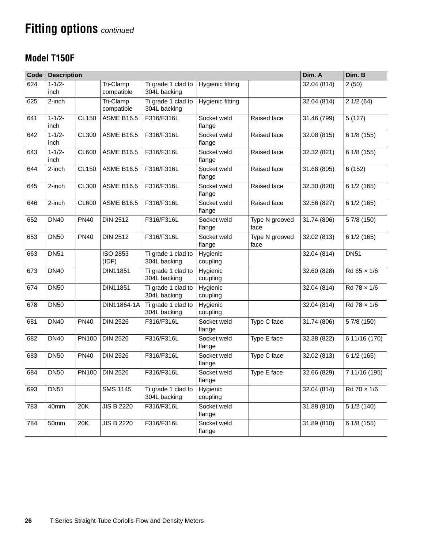### <span id="page-25-0"></span>**Model T150F**

| Code | <b>Description</b>  |              |                          | Dim. A                             | Dim. B                |                        |             |                          |
|------|---------------------|--------------|--------------------------|------------------------------------|-----------------------|------------------------|-------------|--------------------------|
| 624  | $1 - 1/2 -$<br>inch |              | Tri-Clamp<br>compatible  | Ti grade 1 clad to<br>304L backing | Hygienic fitting      |                        | 32.04 (814) | 2(50)                    |
| 625  | 2-inch              |              | Tri-Clamp<br>compatible  | Ti grade 1 clad to<br>304L backing | Hygienic fitting      |                        | 32.04 (814) | 21/2(64)                 |
| 641  | $1 - 1/2 -$<br>inch | <b>CL150</b> | <b>ASME B16.5</b>        | F316/F316L                         | Socket weld<br>flange | Raised face            | 31.46 (799) | 5(127)                   |
| 642  | $1 - 1/2 -$<br>inch | CL300        | <b>ASME B16.5</b>        | F316/F316L                         | Socket weld<br>flange | Raised face            | 32.08 (815) | 6 1/8 (155)              |
| 643  | $1 - 1/2 -$<br>inch | <b>CL600</b> | <b>ASME B16.5</b>        | F316/F316L                         | Socket weld<br>flange | Raised face            | 32.32 (821) | 6 1/8 (155)              |
| 644  | 2-inch              | <b>CL150</b> | <b>ASME B16.5</b>        | F316/F316L                         | Socket weld<br>flange | Raised face            | 31.68 (805) | 6(152)                   |
| 645  | 2-inch              | CL300        | <b>ASME B16.5</b>        | F316/F316L                         | Socket weld<br>flange | Raised face            | 32.30 (820) | 6 1/2 (165)              |
| 646  | 2-inch              | <b>CL600</b> | <b>ASME B16.5</b>        | F316/F316L                         | Socket weld<br>flange | Raised face            | 32.56 (827) | 6 1/2 (165)              |
| 652  | <b>DN40</b>         | <b>PN40</b>  | <b>DIN 2512</b>          | F316/F316L                         | Socket weld<br>flange | Type N grooved<br>face | 31.74 (806) | 5 7/8 (150)              |
| 653  | <b>DN50</b>         | <b>PN40</b>  | <b>DIN 2512</b>          | F316/F316L                         | Socket weld<br>flange | Type N grooved<br>face | 32.02 (813) | 6 1/2 (165)              |
| 663  | <b>DN51</b>         |              | <b>ISO 2853</b><br>(IDF) | Ti grade 1 clad to<br>304L backing | Hygienic<br>coupling  |                        | 32.04 (814) | <b>DN51</b>              |
| 673  | <b>DN40</b>         |              | DIN11851                 | Ti grade 1 clad to<br>304L backing | Hygienic<br>coupling  |                        | 32.60 (828) | $Rd65 \times 1/6$        |
| 674  | <b>DN50</b>         |              | DIN11851                 | Ti grade 1 clad to<br>304L backing | Hygienic<br>coupling  |                        | 32.04 (814) | Rd 78 x 1/6              |
| 678  | <b>DN50</b>         |              | DIN11864-1A              | Ti grade 1 clad to<br>304L backing | Hygienic<br>coupling  |                        | 32.04 (814) | $\overline{Rd}$ 78 x 1/6 |
| 681  | <b>DN40</b>         | <b>PN40</b>  | <b>DIN 2526</b>          | F316/F316L                         | Socket weld<br>flange | Type C face            | 31.74 (806) | 5 7/8 (150)              |
| 682  | <b>DN40</b>         | PN100        | <b>DIN 2526</b>          | F316/F316L                         | Socket weld<br>flange | Type E face            | 32.38 (822) | 6 11/16 (170)            |
| 683  | <b>DN50</b>         | <b>PN40</b>  | <b>DIN 2526</b>          | F316/F316L                         | Socket weld<br>flange | Type C face            | 32.02 (813) | 6 1/2 (165)              |
| 684  | <b>DN50</b>         | PN100        | <b>DIN 2526</b>          | F316/F316L                         | Socket weld<br>flange | Type E face            | 32.66 (829) | 7 11/16 (195)            |
| 693  | <b>DN51</b>         |              | <b>SMS 1145</b>          | Ti grade 1 clad to<br>304L backing | Hygienic<br>coupling  |                        | 32.04 (814) | Rd 70 x 1/6              |
| 783  | 40mm                | 20K          | <b>JIS B 2220</b>        | F316/F316L                         | Socket weld<br>flange |                        | 31.88 (810) | 5 1/2 (140)              |
| 784  | 50mm                | 20K          | <b>JIS B 2220</b>        | F316/F316L                         | Socket weld<br>flange |                        | 31.89 (810) | 6 1/8 (155)              |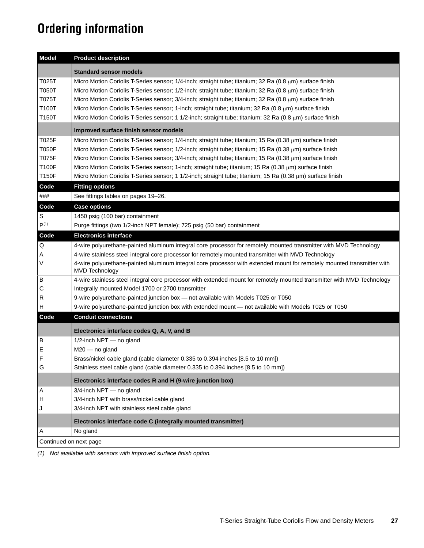# <span id="page-26-0"></span>**Ordering information**

| <b>Model</b>           | <b>Product description</b>                                                                                                                      |  |  |  |
|------------------------|-------------------------------------------------------------------------------------------------------------------------------------------------|--|--|--|
|                        | <b>Standard sensor models</b>                                                                                                                   |  |  |  |
| T025T                  | Micro Motion Coriolis T-Series sensor; 1/4-inch; straight tube; titanium; 32 Ra (0.8 μm) surface finish                                         |  |  |  |
| <b>T050T</b>           | Micro Motion Coriolis T-Series sensor; 1/2-inch; straight tube; titanium; 32 Ra (0.8 $\mu$ m) surface finish                                    |  |  |  |
| T075T                  | Micro Motion Coriolis T-Series sensor; 3/4-inch; straight tube; titanium; 32 Ra (0.8 $\mu$ m) surface finish                                    |  |  |  |
| T100T                  | Micro Motion Coriolis T-Series sensor; 1-inch; straight tube; titanium; 32 Ra (0.8 $\mu$ m) surface finish                                      |  |  |  |
| T150T                  | Micro Motion Coriolis T-Series sensor; 1 1/2-inch; straight tube; titanium; 32 Ra (0.8 µm) surface finish                                       |  |  |  |
|                        | Improved surface finish sensor models                                                                                                           |  |  |  |
| T025F                  | Micro Motion Coriolis T-Series sensor; 1/4-inch; straight tube; titanium; 15 Ra (0.38 µm) surface finish                                        |  |  |  |
| <b>T050F</b>           | Micro Motion Coriolis T-Series sensor; 1/2-inch; straight tube; titanium; 15 Ra (0.38 µm) surface finish                                        |  |  |  |
| <b>T075F</b>           | Micro Motion Coriolis T-Series sensor; 3/4-inch; straight tube; titanium; 15 Ra (0.38 µm) surface finish                                        |  |  |  |
| <b>T100F</b>           | Micro Motion Coriolis T-Series sensor; 1-inch; straight tube; titanium; 15 Ra (0.38 $\mu$ m) surface finish                                     |  |  |  |
| <b>T150F</b>           | Micro Motion Coriolis T-Series sensor; 1 1/2-inch; straight tube; titanium; 15 Ra (0.38 µm) surface finish                                      |  |  |  |
| Code                   | <b>Fitting options</b>                                                                                                                          |  |  |  |
| ###                    | See fittings tables on pages 19-26.                                                                                                             |  |  |  |
| Code                   | <b>Case options</b>                                                                                                                             |  |  |  |
| S                      | 1450 psig (100 bar) containment                                                                                                                 |  |  |  |
| $\mathsf{P}^{(1)}$     | Purge fittings (two 1/2-inch NPT female); 725 psig (50 bar) containment                                                                         |  |  |  |
| Code                   | <b>Electronics interface</b>                                                                                                                    |  |  |  |
| Q                      | 4-wire polyurethane-painted aluminum integral core processor for remotely mounted transmitter with MVD Technology                               |  |  |  |
| A                      | 4-wire stainless steel integral core processor for remotely mounted transmitter with MVD Technology                                             |  |  |  |
| V                      | 4-wire polyurethane-painted aluminum integral core processor with extended mount for remotely mounted transmitter with<br><b>MVD Technology</b> |  |  |  |
| в                      | 4-wire stainless steel integral core processor with extended mount for remotely mounted transmitter with MVD Technology                         |  |  |  |
| С                      | Integrally mounted Model 1700 or 2700 transmitter                                                                                               |  |  |  |
| R                      | 9-wire polyurethane-painted junction box - not available with Models T025 or T050                                                               |  |  |  |
| H                      | 9-wire polyurethane-painted junction box with extended mount - not available with Models T025 or T050                                           |  |  |  |
| Code                   | <b>Conduit connections</b>                                                                                                                      |  |  |  |
|                        | Electronics interface codes Q, A, V, and B                                                                                                      |  |  |  |
| В                      | 1/2-inch NPT - no gland                                                                                                                         |  |  |  |
| Е                      | $M20$ – no gland                                                                                                                                |  |  |  |
| F                      | Brass/nickel cable gland (cable diameter 0.335 to 0.394 inches [8.5 to 10 mm])                                                                  |  |  |  |
| G                      | Stainless steel cable gland (cable diameter 0.335 to 0.394 inches [8.5 to 10 mm])<br>Electronics interface codes R and H (9-wire junction box)  |  |  |  |
|                        |                                                                                                                                                 |  |  |  |
| Α                      | 3/4-inch NPT - no gland                                                                                                                         |  |  |  |
| н                      | 3/4-inch NPT with brass/nickel cable gland                                                                                                      |  |  |  |
| J                      | 3/4-inch NPT with stainless steel cable gland                                                                                                   |  |  |  |
|                        | Electronics interface code C (integrally mounted transmitter)                                                                                   |  |  |  |
| Α                      | No gland                                                                                                                                        |  |  |  |
| Continued on next page |                                                                                                                                                 |  |  |  |
|                        |                                                                                                                                                 |  |  |  |

*(1) Not available with sensors with improved surface finish option.*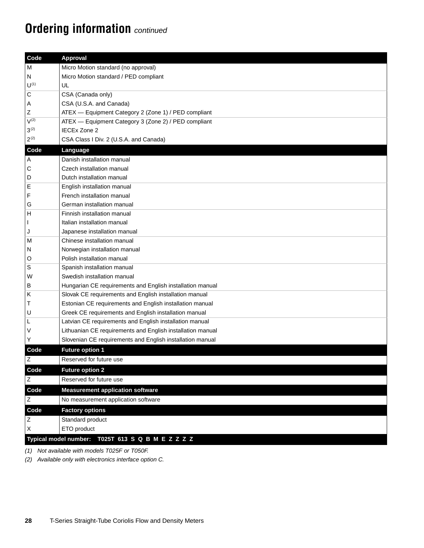# **Ordering information** *continued*

| M                                                                     |  |  |  |  |
|-----------------------------------------------------------------------|--|--|--|--|
| <b>Approval</b><br>Micro Motion standard (no approval)                |  |  |  |  |
| Micro Motion standard / PED compliant<br>N                            |  |  |  |  |
| ${\mathsf U}^{\scriptscriptstyle (1)}$<br>UL                          |  |  |  |  |
| $\mathsf C$<br>CSA (Canada only)                                      |  |  |  |  |
| CSA (U.S.A. and Canada)<br>A                                          |  |  |  |  |
| $\mathsf Z$<br>ATEX - Equipment Category 2 (Zone 1) / PED compliant   |  |  |  |  |
| $V^{(2)}$<br>ATEX - Equipment Category 3 (Zone 2) / PED compliant     |  |  |  |  |
| $3^{(2)}$<br><b>IECEx Zone 2</b>                                      |  |  |  |  |
| $2^{(2)}$<br>CSA Class I Div. 2 (U.S.A. and Canada)                   |  |  |  |  |
| Code<br>Language                                                      |  |  |  |  |
| Danish installation manual<br>A                                       |  |  |  |  |
| C<br>Czech installation manual                                        |  |  |  |  |
| Dutch installation manual<br>D                                        |  |  |  |  |
| E<br>English installation manual                                      |  |  |  |  |
| F<br>French installation manual                                       |  |  |  |  |
| German installation manual<br>G                                       |  |  |  |  |
| Finnish installation manual                                           |  |  |  |  |
| Italian installation manual<br>$\mathbf{I}$                           |  |  |  |  |
| Japanese installation manual<br>J                                     |  |  |  |  |
| Chinese installation manual<br>M                                      |  |  |  |  |
| Norwegian installation manual<br>N                                    |  |  |  |  |
| Polish installation manual<br>O                                       |  |  |  |  |
| S<br>Spanish installation manual                                      |  |  |  |  |
| Swedish installation manual<br>W                                      |  |  |  |  |
| Hungarian CE requirements and English installation manual<br>В        |  |  |  |  |
| Slovak CE requirements and English installation manual<br>Κ           |  |  |  |  |
| Τ<br>Estonian CE requirements and English installation manual         |  |  |  |  |
| U<br>Greek CE requirements and English installation manual            |  |  |  |  |
| Latvian CE requirements and English installation manual<br>L          |  |  |  |  |
| $\sf V$<br>Lithuanian CE requirements and English installation manual |  |  |  |  |
| Υ<br>Slovenian CE requirements and English installation manual        |  |  |  |  |
| Future option 1<br>Code                                               |  |  |  |  |
| $\overline{z}$<br>Reserved for future use                             |  |  |  |  |
| Code<br><b>Future option 2</b>                                        |  |  |  |  |
| Reserved for future use<br>Ζ                                          |  |  |  |  |
| <b>Measurement application software</b><br>Code                       |  |  |  |  |
| $\mathsf Z$<br>No measurement application software                    |  |  |  |  |
| Code<br><b>Factory options</b>                                        |  |  |  |  |
| $\mathsf Z$<br>Standard product                                       |  |  |  |  |
| Χ<br>ETO product                                                      |  |  |  |  |
| Typical model number: T025T 613 S Q B M E Z Z Z Z                     |  |  |  |  |

*(1) Not available with models T025F or T050F.*

<span id="page-27-0"></span>*(2) Available only with electronics interface option C.*